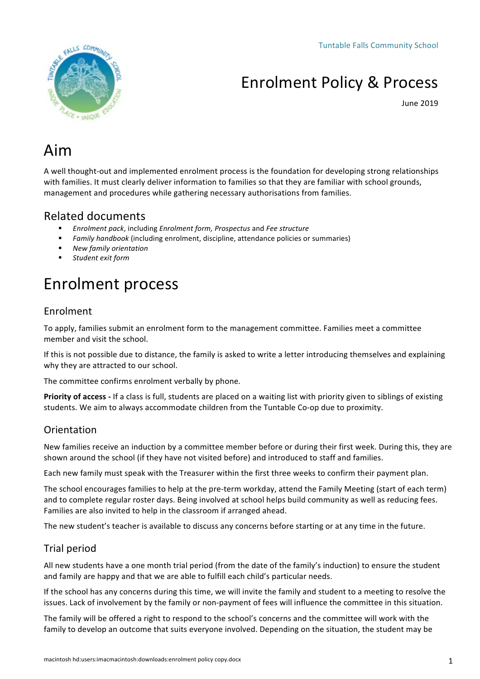

# **Enrolment Policy & Process**

June 2019

# Aim

A well thought-out and implemented enrolment process is the foundation for developing strong relationships with families. It must clearly deliver information to families so that they are familiar with school grounds, management and procedures while gathering necessary authorisations from families.

# Related documents

- § *Enrolment pack*, including *Enrolment form, Prospectus* and *Fee structure*
- Family handbook (including enrolment, discipline, attendance policies or summaries)
- § *New family orientation*
- § *Student exit form*

# Enrolment process

## Enrolment

To apply, families submit an enrolment form to the management committee. Families meet a committee member and visit the school.

If this is not possible due to distance, the family is asked to write a letter introducing themselves and explaining why they are attracted to our school.

The committee confirms enrolment verbally by phone.

**Priority of access** - If a class is full, students are placed on a waiting list with priority given to siblings of existing students. We aim to always accommodate children from the Tuntable Co-op due to proximity.

## **Orientation**

New families receive an induction by a committee member before or during their first week. During this, they are shown around the school (if they have not visited before) and introduced to staff and families.

Each new family must speak with the Treasurer within the first three weeks to confirm their payment plan.

The school encourages families to help at the pre-term workday, attend the Family Meeting (start of each term) and to complete regular roster days. Being involved at school helps build community as well as reducing fees. Families are also invited to help in the classroom if arranged ahead.

The new student's teacher is available to discuss any concerns before starting or at any time in the future.

## Trial period

All new students have a one month trial period (from the date of the family's induction) to ensure the student and family are happy and that we are able to fulfill each child's particular needs.

If the school has any concerns during this time, we will invite the family and student to a meeting to resolve the issues. Lack of involvement by the family or non-payment of fees will influence the committee in this situation.

The family will be offered a right to respond to the school's concerns and the committee will work with the family to develop an outcome that suits everyone involved. Depending on the situation, the student may be